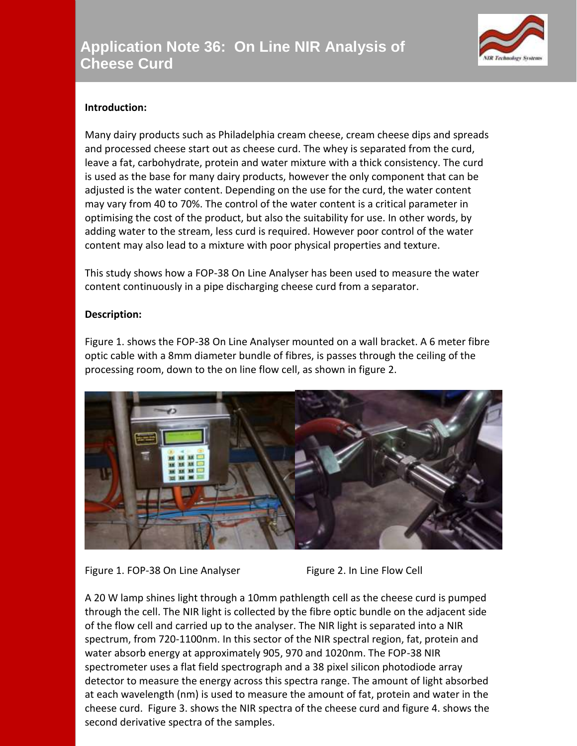

## **Introduction:**

Many dairy products such as Philadelphia cream cheese, cream cheese dips and spreads and processed cheese start out as cheese curd. The whey is separated from the curd, leave a fat, carbohydrate, protein and water mixture with a thick consistency. The curd is used as the base for many dairy products, however the only component that can be adjusted is the water content. Depending on the use for the curd, the water content may vary from 40 to 70%. The control of the water content is a critical parameter in optimising the cost of the product, but also the suitability for use. In other words, by adding water to the stream, less curd is required. However poor control of the water content may also lead to a mixture with poor physical properties and texture.

This study shows how a FOP-38 On Line Analyser has been used to measure the water content continuously in a pipe discharging cheese curd from a separator.

## **Description:**

Figure 1. shows the FOP-38 On Line Analyser mounted on a wall bracket. A 6 meter fibre optic cable with a 8mm diameter bundle of fibres, is passes through the ceiling of the processing room, down to the on line flow cell, as shown in figure 2.





A 20 W lamp shines light through a 10mm pathlength cell as the cheese curd is pumped through the cell. The NIR light is collected by the fibre optic bundle on the adjacent side of the flow cell and carried up to the analyser. The NIR light is separated into a NIR spectrum, from 720-1100nm. In this sector of the NIR spectral region, fat, protein and water absorb energy at approximately 905, 970 and 1020nm. The FOP-38 NIR spectrometer uses a flat field spectrograph and a 38 pixel silicon photodiode array detector to measure the energy across this spectra range. The amount of light absorbed at each wavelength (nm) is used to measure the amount of fat, protein and water in the cheese curd. Figure 3. shows the NIR spectra of the cheese curd and figure 4. shows the second derivative spectra of the samples.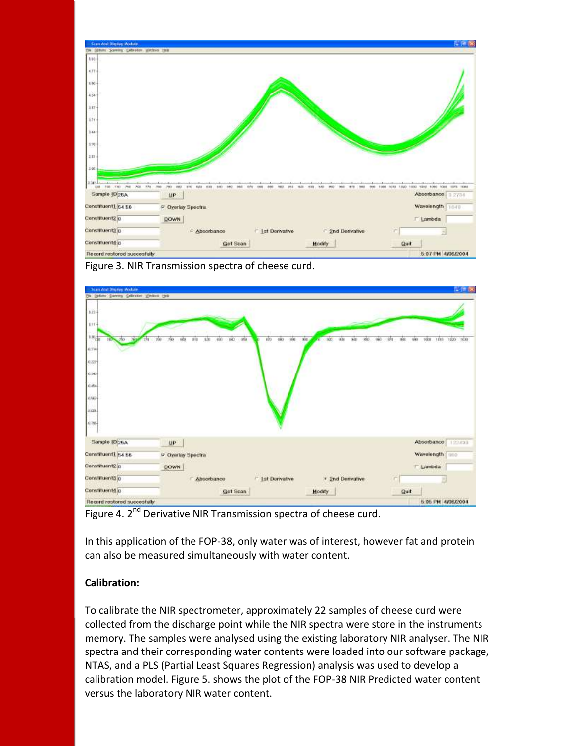

Figure 3. NIR Transmission spectra of cheese curd.



Figure 4. 2<sup>nd</sup> Derivative NIR Transmission spectra of cheese curd.

In this application of the FOP-38, only water was of interest, however fat and protein can also be measured simultaneously with water content.

## **Calibration:**

To calibrate the NIR spectrometer, approximately 22 samples of cheese curd were collected from the discharge point while the NIR spectra were store in the instruments memory. The samples were analysed using the existing laboratory NIR analyser. The NIR spectra and their corresponding water contents were loaded into our software package, NTAS, and a PLS (Partial Least Squares Regression) analysis was used to develop a calibration model. Figure 5. shows the plot of the FOP-38 NIR Predicted water content versus the laboratory NIR water content.